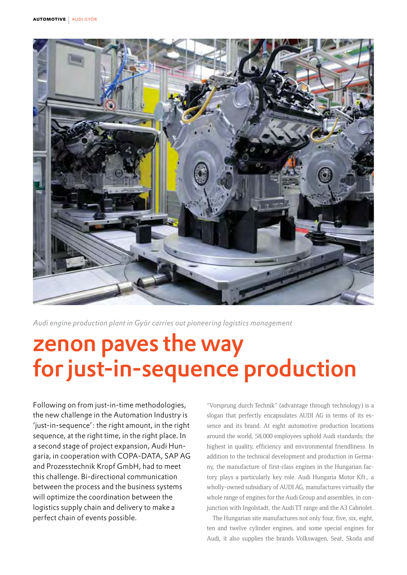

*Audi engine production plant in Györ carries out pioneering logistics management*

# zenon paves the way for just-in-sequence production

Following on from just-in-time methodologies, the new challenge in the Automation Industry is 'just-in-sequence': the right amount, in the right sequence, at the right time, in the right place. In a second stage of project expansion, Audi Hungaria, in cooperation with COPA-DATA, SAP AG and Prozesstechnik Kropf GmbH, had to meet this challenge. Bi-directional communication between the process and the business systems will optimize the coordination between the logistics supply chain and delivery to make a perfect chain of events possible.

"Vorsprung durch Technik" (advantage through technology) is a slogan that perfectly encapsulates AUDI AG in terms of its essence and its brand. At eight automotive production locations around the world, 58,000 employees uphold Audi standards; the highest in quality, efficiency and environmental friendliness. In addition to the technical development and production in Germany, the manufacture of first-class engines in the Hungarian factory plays a particularly key role. Audi Hungaria Motor Kft., a wholly-owned subsidiary of AUDI AG, manufactures virtually the whole range of engines for the Audi Group and assembles, in conjunction with Ingolstadt, the Audi TT range and the A3 Cabriolet.

The Hungarian site manufactures not only four, five, six, eight, ten and twelve cylinder engines, and some special engines for Audi, it also supplies the brands Volkswagen, Seat, Skoda and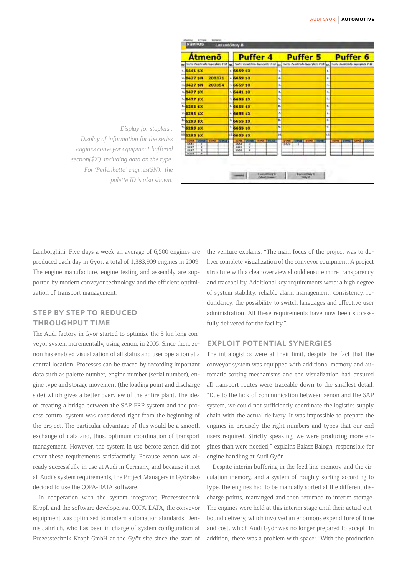| <b>Atmeno</b>                          |  | <b>Puffer 4</b>                          |                           |  | <b>Puffer 5</b> |     |      |  |     | <b>Puffer 6</b>                      |     |  |  |                                  |  |
|----------------------------------------|--|------------------------------------------|---------------------------|--|-----------------|-----|------|--|-----|--------------------------------------|-----|--|--|----------------------------------|--|
| Sorte: Zusatzialo Norrelatz # 18       |  | ry. Serts Zusatzinto Reportable P.18 au. |                           |  |                 |     |      |  |     | Serte Zusätzlink-laperplatz P.16 per |     |  |  | Serte Zatatzinio laperplatz P.Id |  |
| 1.6441 SX                              |  | <b>LB659 SX</b>                          |                           |  |                 | ٤   |      |  |     |                                      | 8   |  |  |                                  |  |
| 203371<br>2.8427 SN                    |  | 2 6659 SX                                |                           |  |                 | z   |      |  |     |                                      | ı   |  |  |                                  |  |
| <b>18427 SN</b><br>203354              |  | 1.6659 SX                                |                           |  |                 | ä.  |      |  |     |                                      | ä,  |  |  |                                  |  |
| LB477 SX                               |  | 4.6441 SX                                |                           |  |                 | ×.  |      |  |     |                                      | đ,  |  |  |                                  |  |
| <b>B477 SX</b>                         |  | <b>5655 SX</b>                           |                           |  |                 | s   |      |  |     |                                      | à.  |  |  |                                  |  |
| 6.62935                                |  | $-6655$ \$X                              |                           |  |                 | ó.  |      |  |     |                                      | ŧ,  |  |  |                                  |  |
| 7-6293 sX                              |  | <b>6655 SX</b>                           |                           |  | z,              |     |      |  | 'n. |                                      |     |  |  |                                  |  |
| $-6293 sX$                             |  | $*56555X$                                |                           |  |                 | ٠   |      |  |     |                                      | a,  |  |  |                                  |  |
| $8293$ SX                              |  | $*66555x$                                |                           |  | u               |     |      |  |     | ų,                                   |     |  |  |                                  |  |
| 106293 SX                              |  | 106655 SX                                |                           |  |                 | ao. |      |  |     |                                      | 1H) |  |  |                                  |  |
| 6441<br>2<br>8427<br>ï<br>8477<br>6293 |  | <b>State</b><br>6639<br>5441<br>8455     | ×<br>$\overline{\bullet}$ |  | <b>THAT</b>     |     | 0427 |  |     |                                      |     |  |  |                                  |  |

*Display for staplers : Display of information for the series engines conveyor equipment buffered section(\$X), including data on the type. For 'Perlenkette' engines(\$N), the palette ID is also shown.*

Lamborghini. Five days a week an average of 6,500 engines are produced each day in Györ: a total of 1,383,909 engines in 2009. The engine manufacture, engine testing and assembly are supported by modern conveyor technology and the efficient optimization of transport management.

## step by step to reduced throughput time

The Audi factory in Györ started to optimize the 5 km long conveyor system incrementally, using zenon, in 2005. Since then, zenon has enabled visualization of all status and user operation at a central location. Processes can be traced by recording important data such as palette number, engine number (serial number), engine type and storage movement (the loading point and discharge side) which gives a better overview of the entire plant. The idea of creating a bridge between the SAP ERP system and the process control system was considered right from the beginning of the project. The particular advantage of this would be a smooth exchange of data and, thus, optimum coordination of transport management. However, the system in use before zenon did not cover these requirements satisfactorily. Because zenon was already successfully in use at Audi in Germany, and because it met all Audi's system requirements, the Project Managers in Györ also decided to use the COPA-DATA software.

In cooperation with the system integrator, Prozesstechnik Kropf, and the software developers at COPA-DATA, the conveyor equipment was optimized to modern automation standards. Dennis Jährlich, who has been in charge of system configuration at Prozesstechnik Kropf GmbH at the Györ site since the start of the venture explains: "The main focus of the project was to deliver complete visualization of the conveyor equipment. A project structure with a clear overview should ensure more transparency and traceability. Additional key requirements were: a high degree of system stability, reliable alarm management, consistency, redundancy, the possibility to switch languages and effective user administration. All these requirements have now been successfully delivered for the facility."

#### exploit potential synergies

The intralogistics were at their limit, despite the fact that the conveyor system was equipped with additional memory and automatic sorting mechanisms and the visualization had ensured all transport routes were traceable down to the smallest detail. "Due to the lack of communication between zenon and the SAP system, we could not sufficiently coordinate the logistics supply chain with the actual delivery. It was impossible to prepare the engines in precisely the right numbers and types that our end users required. Strictly speaking, we were producing more engines than were needed," explains Balasz Balogh, responsible for engine handling at Audi Györ.

Despite interim buffering in the feed line memory and the circulation memory, and a system of roughly sorting according to type, the engines had to be manually sorted at the different discharge points, rearranged and then returned to interim storage. The engines were held at this interim stage until their actual outbound delivery, which involved an enormous expenditure of time and cost, which Audi Györ was no longer prepared to accept. In addition, there was a problem with space: "With the production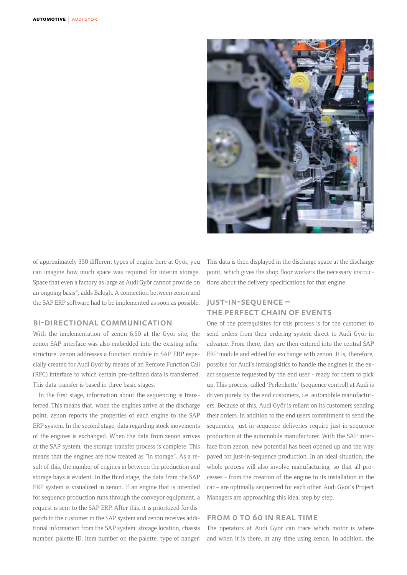

of approximately 350 different types of engine here at Györ, you can imagine how much space was required for interim storage. Space that even a factory as large as Audi Györ cannot provide on an ongoing basis", adds Balogh. A connection between zenon and the SAP ERP software had to be implemented as soon as possible.

#### bi-directional communication

With the implementation of zenon 6.50 at the Györ site, the zenon SAP interface was also embedded into the existing infrastructure. zenon addresses a function module in SAP ERP especially created for Audi Györ by means of an Remote Function Call (RFC) interface to which certain pre-defined data is transferred. This data transfer is based in three basic stages.

In the first stage, information about the sequencing is transferred. This means that, when the engines arrive at the discharge point, zenon reports the properties of each engine to the SAP ERP system. In the second stage, data regarding stock movements of the engines is exchanged. When the data from zenon arrives at the SAP system, the storage transfer process is complete. This means that the engines are now treated as "in storage". As a result of this, the number of engines in between the production and storage bays is evident. In the third stage, the data from the SAP ERP system is visualized in zenon. If an engine that is intended for sequence production runs through the conveyor equipment, a request is sent to the SAP ERP. After this, it is prioritized for dispatch to the customer in the SAP system and zenon receives additional information from the SAP system: storage location, chassis number, palette ID, item number on the palette, type of hanger.

This data is then displayed in the discharge space at the discharge point, which gives the shop floor workers the necessary instructions about the delivery specifications for that engine.

### just-in-sequence – the perfect chain of events

One of the prerequisites for this process is for the customer to send orders from their ordering system direct to Audi Györ in advance. From there, they are then entered into the central SAP ERP module and edited for exchange with zenon. It is, therefore, possible for Audi's intralogisitics to handle the engines in the exact sequence requested by the end user - ready for them to pick up. This process, called 'Perlenkette' (sequence control) at Audi is driven purely by the end customers, i.e. automobile manufacturers. Because of this, Audi Györ is reliant on its customers sending their orders. In addition to the end users commitment to send the sequences, just-in-sequence deliveries require just-in-sequence production at the automobile manufacturer. With the SAP interface from zenon, new potential has been opened up and the way paved for just-in-sequence production. In an ideal situation, the whole process will also involve manufacturing; so that all processes - from the creation of the engine to its installation in the car – are optimally sequenced for each other. Audi Györ's Project Managers are approaching this ideal step by step.

#### FROM 0 TO 60 IN REAL TIME

The operators at Audi Györ can trace which motor is where and when it is there, at any time using zenon. In addition, the